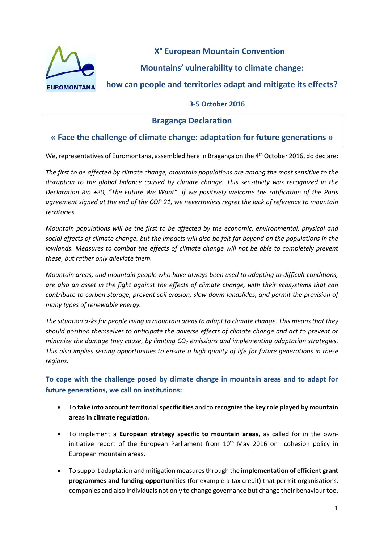

**X° European Mountain Convention**

**Mountains' vulnerability to climate change:** 

**how can people and territories adapt and mitigate its effects?**

### **3-5 October 2016**

# **Bragança Declaration**

# **« Face the challenge of climate change: adaptation for future generations »**

We, representatives of Euromontana, assembled here in Bragança on the 4<sup>th</sup> October 2016, do declare:

*The first to be affected by climate change, mountain populations are among the most sensitive to the disruption to the global balance caused by climate change. This sensitivity was recognized in the Declaration Rio +20, "The Future We Want". If we positively welcome the ratification of the Paris agreement signed at the end of the COP 21, we nevertheless regret the lack of reference to mountain territories.*

*Mountain populations will be the first to be affected by the economic, environmental, physical and social effects of climate change, but the impacts will also be felt far beyond on the populations in the lowlands. Measures to combat the effects of climate change will not be able to completely prevent these, but rather only alleviate them.* 

*Mountain areas, and mountain people who have always been used to adapting to difficult conditions, are also an asset in the fight against the effects of climate change, with their ecosystems that can contribute to carbon storage, prevent soil erosion, slow down landslides, and permit the provision of many types of renewable energy.* 

*The situation asks for people living in mountain areas to adapt to climate change. This means that they should position themselves to anticipate the adverse effects of climate change and act to prevent or minimize the damage they cause, by limiting CO<sup>2</sup> emissions and implementing adaptation strategies. This also implies seizing opportunities to ensure a high quality of life for future generations in these regions.* 

**To cope with the challenge posed by climate change in mountain areas and to adapt for future generations, we call on institutions:**

- To **take into account territorial specificities** and to **recognize the key role played by mountain areas in climate regulation.**
- To implement a **European strategy specific to mountain areas,** as called for in the owninitiative report of the European Parliament from  $10<sup>th</sup>$  May 2016 on cohesion policy in European mountain areas.
- To support adaptation and mitigation measures through the **implementation of efficient grant programmes and funding opportunities** (for example a tax credit) that permit organisations, companies and also individuals not only to change governance but change their behaviour too.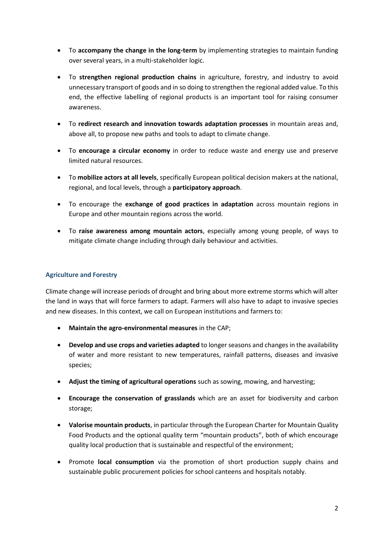- To **accompany the change in the long-term** by implementing strategies to maintain funding over several years, in a multi-stakeholder logic.
- To **strengthen regional production chains** in agriculture, forestry, and industry to avoid unnecessary transport of goods and in so doing to strengthen the regional added value. To this end, the effective labelling of regional products is an important tool for raising consumer awareness.
- To **redirect research and innovation towards adaptation processes** in mountain areas and, above all, to propose new paths and tools to adapt to climate change.
- To **encourage a circular economy** in order to reduce waste and energy use and preserve limited natural resources.
- To **mobilize actors at all levels**, specifically European political decision makers at the national, regional, and local levels, through a **participatory approach**.
- To encourage the **exchange of good practices in adaptation** across mountain regions in Europe and other mountain regions across the world.
- To **raise awareness among mountain actors**, especially among young people, of ways to mitigate climate change including through daily behaviour and activities.

### **Agriculture and Forestry**

Climate change will increase periods of drought and bring about more extreme storms which will alter the land in ways that will force farmers to adapt. Farmers will also have to adapt to invasive species and new diseases. In this context, we call on European institutions and farmers to:

- **Maintain the agro-environmental measures** in the CAP;
- **Develop and use crops and varieties adapted** to longer seasons and changes in the availability of water and more resistant to new temperatures, rainfall patterns, diseases and invasive species;
- **Adjust the timing of agricultural operations** such as sowing, mowing, and harvesting;
- **Encourage the conservation of grasslands** which are an asset for biodiversity and carbon storage;
- **Valorise mountain products**, in particular through the European Charter for Mountain Quality Food Products and the optional quality term "mountain products", both of which encourage quality local production that is sustainable and respectful of the environment;
- Promote **local consumption** via the promotion of short production supply chains and sustainable public procurement policies for school canteens and hospitals notably.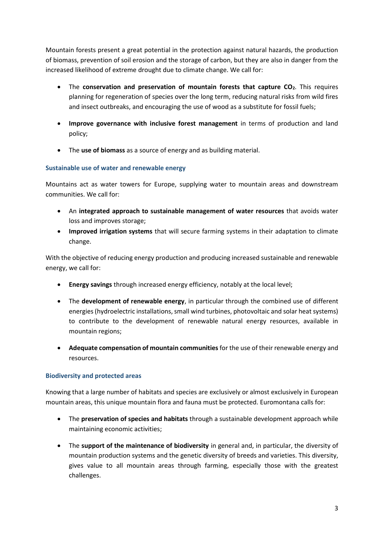Mountain forests present a great potential in the protection against natural hazards, the production of biomass, prevention of soil erosion and the storage of carbon, but they are also in danger from the increased likelihood of extreme drought due to climate change. We call for:

- The **conservation and preservation of mountain forests that capture CO2**. This requires planning for regeneration of species over the long term, reducing natural risks from wild fires and insect outbreaks, and encouraging the use of wood as a substitute for fossil fuels;
- **Improve governance with inclusive forest management** in terms of production and land policy;
- The **use of biomass** as a source of energy and as building material.

### **Sustainable use of water and renewable energy**

Mountains act as water towers for Europe, supplying water to mountain areas and downstream communities. We call for:

- An **integrated approach to sustainable management of water resources** that avoids water loss and improves storage;
- **Improved irrigation systems** that will secure farming systems in their adaptation to climate change.

With the objective of reducing energy production and producing increased sustainable and renewable energy, we call for:

- **Energy savings** through increased energy efficiency, notably at the local level;
- The **development of renewable energy**, in particular through the combined use of different energies (hydroelectric installations, small wind turbines, photovoltaic and solar heat systems) to contribute to the development of renewable natural energy resources, available in mountain regions;
- **Adequate compensation of mountain communities** for the use of their renewable energy and resources.

# **Biodiversity and protected areas**

Knowing that a large number of habitats and species are exclusively or almost exclusively in European mountain areas, this unique mountain flora and fauna must be protected. Euromontana calls for:

- The **preservation of species and habitats** through a sustainable development approach while maintaining economic activities;
- The **support of the maintenance of biodiversity** in general and, in particular, the diversity of mountain production systems and the genetic diversity of breeds and varieties. This diversity, gives value to all mountain areas through farming, especially those with the greatest challenges.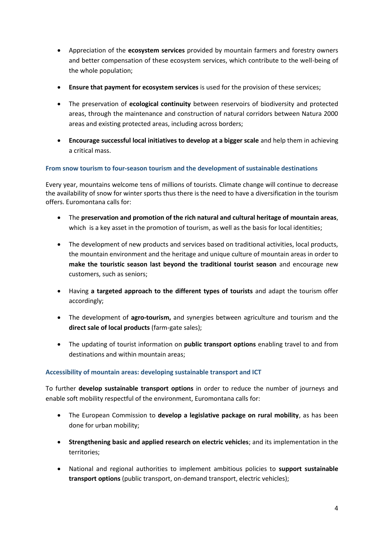- Appreciation of the **ecosystem services** provided by mountain farmers and forestry owners and better compensation of these ecosystem services, which contribute to the well-being of the whole population;
- **Ensure that payment for ecosystem services** is used for the provision of these services;
- The preservation of **ecological continuity** between reservoirs of biodiversity and protected areas, through the maintenance and construction of natural corridors between Natura 2000 areas and existing protected areas, including across borders;
- **Encourage successful local initiatives to develop at a bigger scale** and help them in achieving a critical mass.

### **From snow tourism to four-season tourism and the development of sustainable destinations**

Every year, mountains welcome tens of millions of tourists. Climate change will continue to decrease the availability of snow for winter sports thus there is the need to have a diversification in the tourism offers. Euromontana calls for:

- The **preservation and promotion of the rich natural and cultural heritage of mountain areas**, which is a key asset in the promotion of tourism, as well as the basis for local identities;
- The development of new products and services based on traditional activities, local products, the mountain environment and the heritage and unique culture of mountain areas in order to **make the touristic season last beyond the traditional tourist season** and encourage new customers, such as seniors;
- Having **a targeted approach to the different types of tourists** and adapt the tourism offer accordingly;
- The development of **agro-tourism,** and synergies between agriculture and tourism and the **direct sale of local products** (farm-gate sales);
- The updating of tourist information on **public transport options** enabling travel to and from destinations and within mountain areas;

#### **Accessibility of mountain areas: developing sustainable transport and ICT**

To further **develop sustainable transport options** in order to reduce the number of journeys and enable soft mobility respectful of the environment, Euromontana calls for:

- The European Commission to **develop a legislative package on rural mobility**, as has been done for urban mobility;
- **Strengthening basic and applied research on electric vehicles**; and its implementation in the territories;
- National and regional authorities to implement ambitious policies to **support sustainable transport options** (public transport, on-demand transport, electric vehicles);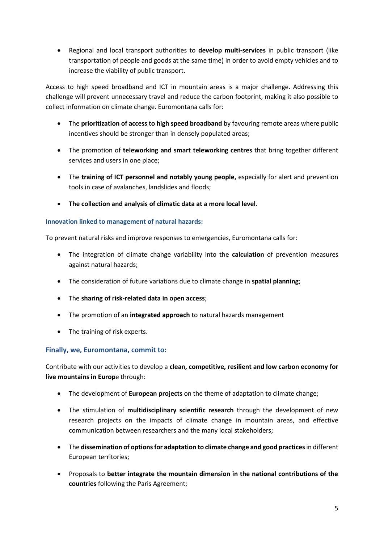Regional and local transport authorities to **develop multi-services** in public transport (like transportation of people and goods at the same time) in order to avoid empty vehicles and to increase the viability of public transport.

Access to high speed broadband and ICT in mountain areas is a major challenge. Addressing this challenge will prevent unnecessary travel and reduce the carbon footprint, making it also possible to collect information on climate change. Euromontana calls for:

- The **prioritization of access to high speed broadband** by favouring remote areas where public incentives should be stronger than in densely populated areas;
- The promotion of **teleworking and smart teleworking centres** that bring together different services and users in one place;
- The **training of ICT personnel and notably young people,** especially for alert and prevention tools in case of avalanches, landslides and floods;
- **The collection and analysis of climatic data at a more local level**.

#### **Innovation linked to management of natural hazards:**

To prevent natural risks and improve responses to emergencies, Euromontana calls for:

- The integration of climate change variability into the **calculation** of prevention measures against natural hazards;
- The consideration of future variations due to climate change in **spatial planning**;
- The **sharing of risk-related data in open access**;
- The promotion of an **integrated approach** to natural hazards management
- The training of risk experts.

#### **Finally, we, Euromontana, commit to:**

Contribute with our activities to develop a **clean, competitive, resilient and low carbon economy for live mountains in Europ**e through:

- The development of **European projects** on the theme of adaptation to climate change;
- The stimulation of **multidisciplinary scientific research** through the development of new research projects on the impacts of climate change in mountain areas, and effective communication between researchers and the many local stakeholders;
- The **dissemination of options for adaptation to climate change and good practices**in different European territories;
- Proposals to **better integrate the mountain dimension in the national contributions of the countries** following the Paris Agreement;